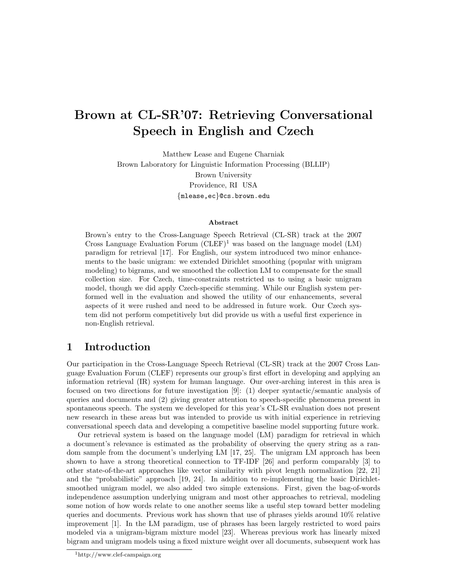# Brown at CL-SR'07: Retrieving Conversational Speech in English and Czech

Matthew Lease and Eugene Charniak Brown Laboratory for Linguistic Information Processing (BLLIP) Brown University Providence, RI USA {mlease,ec}@cs.brown.edu

#### Abstract

Brown's entry to the Cross-Language Speech Retrieval (CL-SR) track at the 2007 Cross Language Evaluation Forum  $(CDEF)^1$  was based on the language model  $(LM)$ paradigm for retrieval [17]. For English, our system introduced two minor enhancements to the basic unigram: we extended Dirichlet smoothing (popular with unigram modeling) to bigrams, and we smoothed the collection LM to compensate for the small collection size. For Czech, time-constraints restricted us to using a basic unigram model, though we did apply Czech-specific stemming. While our English system performed well in the evaluation and showed the utility of our enhancements, several aspects of it were rushed and need to be addressed in future work. Our Czech system did not perform competitively but did provide us with a useful first experience in non-English retrieval.

### 1 Introduction

Our participation in the Cross-Language Speech Retrieval (CL-SR) track at the 2007 Cross Language Evaluation Forum (CLEF) represents our group's first effort in developing and applying an information retrieval (IR) system for human language. Our over-arching interest in this area is focused on two directions for future investigation [9]: (1) deeper syntactic/semantic analysis of queries and documents and (2) giving greater attention to speech-specific phenomena present in spontaneous speech. The system we developed for this year's CL-SR evaluation does not present new research in these areas but was intended to provide us with initial experience in retrieving conversational speech data and developing a competitive baseline model supporting future work.

Our retrieval system is based on the language model (LM) paradigm for retrieval in which a document's relevance is estimated as the probability of observing the query string as a random sample from the document's underlying LM [17, 25]. The unigram LM approach has been shown to have a strong theoretical connection to TF-IDF [26] and perform comparably [3] to other state-of-the-art approaches like vector similarity with pivot length normalization [22, 21] and the "probabilistic" approach [19, 24]. In addition to re-implementing the basic Dirichletsmoothed unigram model, we also added two simple extensions. First, given the bag-of-words independence assumption underlying unigram and most other approaches to retrieval, modeling some notion of how words relate to one another seems like a useful step toward better modeling queries and documents. Previous work has shown that use of phrases yields around  $10\%$  relative improvement [1]. In the LM paradigm, use of phrases has been largely restricted to word pairs modeled via a unigram-bigram mixture model [23]. Whereas previous work has linearly mixed bigram and unigram models using a fixed mixture weight over all documents, subsequent work has

<sup>1</sup>http://www.clef-campaign.org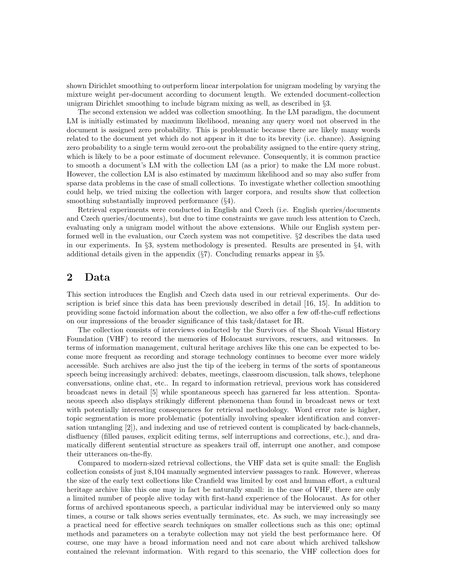shown Dirichlet smoothing to outperform linear interpolation for unigram modeling by varying the mixture weight per-document according to document length. We extended document-collection unigram Dirichlet smoothing to include bigram mixing as well, as described in §3.

The second extension we added was collection smoothing. In the LM paradigm, the document LM is initially estimated by maximum likelihood, meaning any query word not observed in the document is assigned zero probability. This is problematic because there are likely many words related to the document yet which do not appear in it due to its brevity (i.e. chance). Assigning zero probability to a single term would zero-out the probability assigned to the entire query string, which is likely to be a poor estimate of document relevance. Consequently, it is common practice to smooth a document's LM with the collection LM (as a prior) to make the LM more robust. However, the collection LM is also estimated by maximum likelihood and so may also suffer from sparse data problems in the case of small collections. To investigate whether collection smoothing could help, we tried mixing the collection with larger corpora, and results show that collection smoothing substantially improved performance  $(\S4)$ .

Retrieval experiments were conducted in English and Czech (i.e. English queries/documents and Czech queries/documents), but due to time constraints we gave much less attention to Czech, evaluating only a unigram model without the above extensions. While our English system performed well in the evaluation, our Czech system was not competitive. §2 describes the data used in our experiments. In §3, system methodology is presented. Results are presented in §4, with additional details given in the appendix  $(\frac{87}{7})$ . Concluding remarks appear in  $\S5$ .

### 2 Data

This section introduces the English and Czech data used in our retrieval experiments. Our description is brief since this data has been previously described in detail [16, 15]. In addition to providing some factoid information about the collection, we also offer a few off-the-cuff reflections on our impressions of the broader significance of this task/dataset for IR.

The collection consists of interviews conducted by the Survivors of the Shoah Visual History Foundation (VHF) to record the memories of Holocaust survivors, rescuers, and witnesses. In terms of information management, cultural heritage archives like this one can be expected to become more frequent as recording and storage technology continues to become ever more widely accessible. Such archives are also just the tip of the iceberg in terms of the sorts of spontaneous speech being increasingly archived: debates, meetings, classroom discussion, talk shows, telephone conversations, online chat, etc.. In regard to information retrieval, previous work has considered broadcast news in detail [5] while spontaneous speech has garnered far less attention. Spontaneous speech also displays strikingly different phenomena than found in broadcast news or text with potentially interesting consequences for retrieval methodology. Word error rate is higher, topic segmentation is more problematic (potentially involving speaker identification and conversation untangling [2]), and indexing and use of retrieved content is complicated by back-channels, disfluency (filled pauses, explicit editing terms, self interruptions and corrections, etc.), and dramatically different sentential structure as speakers trail off, interrupt one another, and compose their utterances on-the-fly.

Compared to modern-sized retrieval collections, the VHF data set is quite small: the English collection consists of just 8,104 manually segmented interview passages to rank. However, whereas the size of the early text collections like Cranfield was limited by cost and human effort, a cultural heritage archive like this one may in fact be naturally small: in the case of VHF, there are only a limited number of people alive today with first-hand experience of the Holocaust. As for other forms of archived spontaneous speech, a particular individual may be interviewed only so many times, a course or talk shows series eventually terminates, etc. As such, we may increasingly see a practical need for effective search techniques on smaller collections such as this one; optimal methods and parameters on a terabyte collection may not yield the best performance here. Of course, one may have a broad information need and not care about which archived talkshow contained the relevant information. With regard to this scenario, the VHF collection does for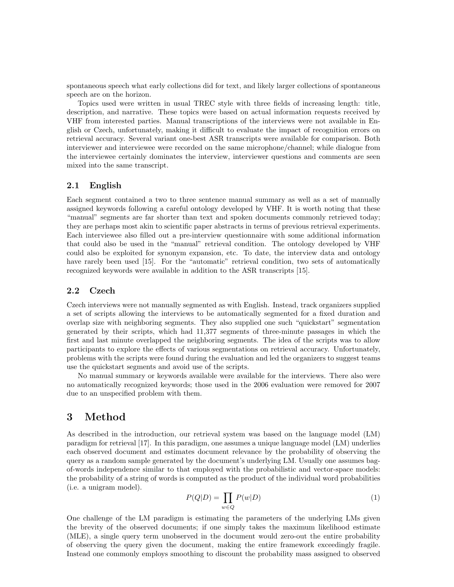spontaneous speech what early collections did for text, and likely larger collections of spontaneous speech are on the horizon.

Topics used were written in usual TREC style with three fields of increasing length: title, description, and narrative. These topics were based on actual information requests received by VHF from interested parties. Manual transcriptions of the interviews were not available in English or Czech, unfortunately, making it difficult to evaluate the impact of recognition errors on retrieval accuracy. Several variant one-best ASR transcripts were available for comparison. Both interviewer and interviewee were recorded on the same microphone/channel; while dialogue from the interviewee certainly dominates the interview, interviewer questions and comments are seen mixed into the same transcript.

#### 2.1 English

Each segment contained a two to three sentence manual summary as well as a set of manually assigned keywords following a careful ontology developed by VHF. It is worth noting that these "manual" segments are far shorter than text and spoken documents commonly retrieved today; they are perhaps most akin to scientific paper abstracts in terms of previous retrieval experiments. Each interviewee also filled out a pre-interview questionnaire with some additional information that could also be used in the "manual" retrieval condition. The ontology developed by VHF could also be exploited for synonym expansion, etc. To date, the interview data and ontology have rarely been used [15]. For the "automatic" retrieval condition, two sets of automatically recognized keywords were available in addition to the ASR transcripts [15].

#### 2.2 Czech

Czech interviews were not manually segmented as with English. Instead, track organizers supplied a set of scripts allowing the interviews to be automatically segmented for a fixed duration and overlap size with neighboring segments. They also supplied one such "quickstart" segmentation generated by their scripts, which had 11,377 segments of three-minute passages in which the first and last minute overlapped the neighboring segments. The idea of the scripts was to allow participants to explore the effects of various segmentations on retrieval accuracy. Unfortunately, problems with the scripts were found during the evaluation and led the organizers to suggest teams use the quickstart segments and avoid use of the scripts.

No manual summary or keywords available were available for the interviews. There also were no automatically recognized keywords; those used in the 2006 evaluation were removed for 2007 due to an unspecified problem with them.

### 3 Method

As described in the introduction, our retrieval system was based on the language model (LM) paradigm for retrieval [17]. In this paradigm, one assumes a unique language model (LM) underlies each observed document and estimates document relevance by the probability of observing the query as a random sample generated by the document's underlying LM. Usually one assumes bagof-words independence similar to that employed with the probabilistic and vector-space models: the probability of a string of words is computed as the product of the individual word probabilities (i.e. a unigram model).

$$
P(Q|D) = \prod_{w \in Q} P(w|D)
$$
\n(1)

One challenge of the LM paradigm is estimating the parameters of the underlying LMs given the brevity of the observed documents; if one simply takes the maximum likelihood estimate (MLE), a single query term unobserved in the document would zero-out the entire probability of observing the query given the document, making the entire framework exceedingly fragile. Instead one commonly employs smoothing to discount the probability mass assigned to observed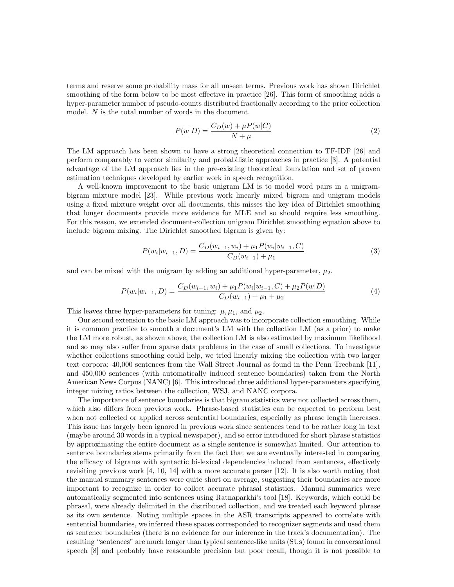terms and reserve some probability mass for all unseen terms. Previous work has shown Dirichlet smoothing of the form below to be most effective in practice [26]. This form of smoothing adds a hyper-parameter number of pseudo-counts distributed fractionally according to the prior collection model. N is the total number of words in the document.

$$
P(w|D) = \frac{C_D(w) + \mu P(w|C)}{N + \mu}
$$
\n<sup>(2)</sup>

The LM approach has been shown to have a strong theoretical connection to TF-IDF [26] and perform comparably to vector similarity and probabilistic approaches in practice [3]. A potential advantage of the LM approach lies in the pre-existing theoretical foundation and set of proven estimation techniques developed by earlier work in speech recognition.

A well-known improvement to the basic unigram LM is to model word pairs in a unigrambigram mixture model [23]. While previous work linearly mixed bigram and unigram models using a fixed mixture weight over all documents, this misses the key idea of Dirichlet smoothing that longer documents provide more evidence for MLE and so should require less smoothing. For this reason, we extended document-collection unigram Dirichlet smoothing equation above to include bigram mixing. The Dirichlet smoothed bigram is given by:

$$
P(w_i|w_{i-1}, D) = \frac{C_D(w_{i-1}, w_i) + \mu_1 P(w_i|w_{i-1}, C)}{C_D(w_{i-1}) + \mu_1}
$$
\n(3)

and can be mixed with the unigram by adding an additional hyper-parameter,  $\mu_2$ .

$$
P(w_i|w_{i-1}, D) = \frac{C_D(w_{i-1}, w_i) + \mu_1 P(w_i|w_{i-1}, C) + \mu_2 P(w|D)}{C_D(w_{i-1}) + \mu_1 + \mu_2}
$$
\n
$$
(4)
$$

This leaves three hyper-parameters for tuning:  $\mu$ ,  $\mu_1$ , and  $\mu_2$ .

Our second extension to the basic LM approach was to incorporate collection smoothing. While it is common practice to smooth a document's LM with the collection LM (as a prior) to make the LM more robust, as shown above, the collection LM is also estimated by maximum likelihood and so may also suffer from sparse data problems in the case of small collections. To investigate whether collections smoothing could help, we tried linearly mixing the collection with two larger text corpora: 40,000 sentences from the Wall Street Journal as found in the Penn Treebank [11], and 450,000 sentences (with automatically induced sentence boundaries) taken from the North American News Corpus (NANC) [6]. This introduced three additional hyper-parameters specifying integer mixing ratios between the collection, WSJ, and NANC corpora.

The importance of sentence boundaries is that bigram statistics were not collected across them, which also differs from previous work. Phrase-based statistics can be expected to perform best when not collected or applied across sentential boundaries, especially as phrase length increases. This issue has largely been ignored in previous work since sentences tend to be rather long in text (maybe around 30 words in a typical newspaper), and so error introduced for short phrase statistics by approximating the entire document as a single sentence is somewhat limited. Our attention to sentence boundaries stems primarily from the fact that we are eventually interested in comparing the efficacy of bigrams with syntactic bi-lexical dependencies induced from sentences, effectively revisiting previous work  $[4, 10, 14]$  with a more accurate parser  $[12]$ . It is also worth noting that the manual summary sentences were quite short on average, suggesting their boundaries are more important to recognize in order to collect accurate phrasal statistics. Manual summaries were automatically segmented into sentences using Ratnaparkhi's tool [18]. Keywords, which could be phrasal, were already delimited in the distributed collection, and we treated each keyword phrase as its own sentence. Noting multiple spaces in the ASR transcripts appeared to correlate with sentential boundaries, we inferred these spaces corresponded to recognizer segments and used them as sentence boundaries (there is no evidence for our inference in the track's documentation). The resulting "sentences" are much longer than typical sentence-like units (SUs) found in conversational speech [8] and probably have reasonable precision but poor recall, though it is not possible to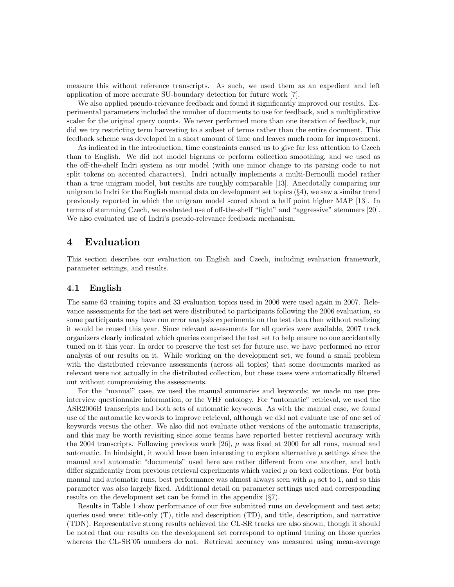measure this without reference transcripts. As such, we used them as an expedient and left application of more accurate SU-boundary detection for future work [7].

We also applied pseudo-relevance feedback and found it significantly improved our results. Experimental parameters included the number of documents to use for feedback, and a multiplicative scaler for the original query counts. We never performed more than one iteration of feedback, nor did we try restricting term harvesting to a subset of terms rather than the entire document. This feedback scheme was developed in a short amount of time and leaves much room for improvement.

As indicated in the introduction, time constraints caused us to give far less attention to Czech than to English. We did not model bigrams or perform collection smoothing, and we used as the off-the-shelf Indri system as our model (with one minor change to its parsing code to not split tokens on accented characters). Indri actually implements a multi-Bernoulli model rather than a true unigram model, but results are roughly comparable [13]. Anecdotally comparing our unigram to Indri for the English manual data on development set topics (§4), we saw a similar trend previously reported in which the unigram model scored about a half point higher MAP [13]. In terms of stemming Czech, we evaluated use of off-the-shelf "light" and "aggressive" stemmers [20]. We also evaluated use of Indri's pseudo-relevance feedback mechanism.

### 4 Evaluation

This section describes our evaluation on English and Czech, including evaluation framework, parameter settings, and results.

#### 4.1 English

The same 63 training topics and 33 evaluation topics used in 2006 were used again in 2007. Relevance assessments for the test set were distributed to participants following the 2006 evaluation, so some participants may have run error analysis experiments on the test data then without realizing it would be reused this year. Since relevant assessments for all queries were available, 2007 track organizers clearly indicated which queries comprised the test set to help ensure no one accidentally tuned on it this year. In order to preserve the test set for future use, we have performed no error analysis of our results on it. While working on the development set, we found a small problem with the distributed relevance assessments (across all topics) that some documents marked as relevant were not actually in the distributed collection, but these cases were automatically filtered out without compromising the assessments.

For the "manual" case, we used the manual summaries and keywords; we made no use preinterview questionnaire information, or the VHF ontology. For "automatic" retrieval, we used the ASR2006B transcripts and both sets of automatic keywords. As with the manual case, we found use of the automatic keywords to improve retrieval, although we did not evaluate use of one set of keywords versus the other. We also did not evaluate other versions of the automatic transcripts, and this may be worth revisiting since some teams have reported better retrieval accuracy with the 2004 transcripts. Following previous work [26],  $\mu$  was fixed at 2000 for all runs, manual and automatic. In hindsight, it would have been interesting to explore alternative  $\mu$  settings since the manual and automatic "documents" used here are rather different from one another, and both differ significantly from previous retrieval experiments which varied  $\mu$  on text collections. For both manual and automatic runs, best performance was almost always seen with  $\mu_1$  set to 1, and so this parameter was also largely fixed. Additional detail on parameter settings used and corresponding results on the development set can be found in the appendix (§7).

Results in Table 1 show performance of our five submitted runs on development and test sets; queries used were: title-only (T), title and description (TD), and title, description, and narrative (TDN). Representative strong results achieved the CL-SR tracks are also shown, though it should be noted that our results on the development set correspond to optimal tuning on those queries whereas the CL-SR'05 numbers do not. Retrieval accuracy was measured using mean-average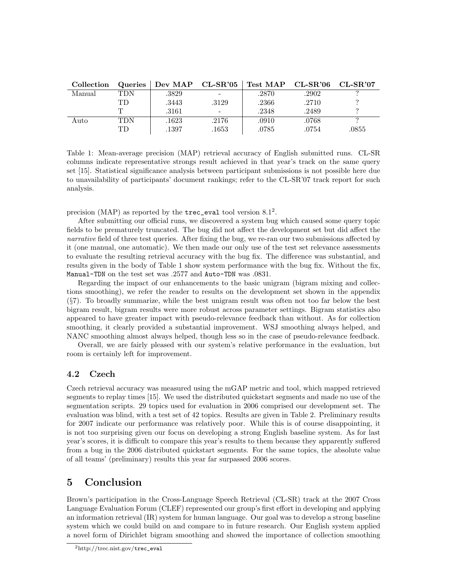| Collection | Queries | $\mid$ Dev MAP $\mid$ CL-SR'05 $\mid$ |                          | Test MAP CL-SR'06 CL-SR'07 |       |       |
|------------|---------|---------------------------------------|--------------------------|----------------------------|-------|-------|
| Manual     | TDN     | .3829                                 | $\overline{\phantom{a}}$ | .2870                      | .2902 |       |
|            | TD      | .3443                                 | .3129                    | .2366                      | .2710 |       |
|            | m       | .3161                                 | $\overline{\phantom{a}}$ | .2348                      | .2489 |       |
| Auto       | TDN     | .1623                                 | .2176                    | .0910                      | .0768 |       |
|            | TD      | .1397                                 | .1653                    | .0785                      | .0754 | .0855 |

Table 1: Mean-average precision (MAP) retrieval accuracy of English submitted runs. CL-SR columns indicate representative strongs result achieved in that year's track on the same query set [15]. Statistical significance analysis between participant submissions is not possible here due to unavailability of participants' document rankings; refer to the CL-SR'07 track report for such analysis.

precision (MAP) as reported by the  $\texttt{tree\_eval}$  tool version  $8.1^2$ .

After submitting our official runs, we discovered a system bug which caused some query topic fields to be prematurely truncated. The bug did not affect the development set but did affect the narrative field of three test queries. After fixing the bug, we re-ran our two submissions affected by it (one manual, one automatic). We then made our only use of the test set relevance assessments to evaluate the resulting retrieval accuracy with the bug fix. The difference was substantial, and results given in the body of Table 1 show system performance with the bug fix. Without the fix, Manual-TDN on the test set was .2577 and Auto-TDN was .0831.

Regarding the impact of our enhancements to the basic unigram (bigram mixing and collections smoothing), we refer the reader to results on the development set shown in the appendix (§7). To broadly summarize, while the best unigram result was often not too far below the best bigram result, bigram results were more robust across parameter settings. Bigram statistics also appeared to have greater impact with pseudo-relevance feedback than without. As for collection smoothing, it clearly provided a substantial improvement. WSJ smoothing always helped, and NANC smoothing almost always helped, though less so in the case of pseudo-relevance feedback.

Overall, we are fairly pleased with our system's relative performance in the evaluation, but room is certainly left for improvement.

#### 4.2 Czech

Czech retrieval accuracy was measured using the mGAP metric and tool, which mapped retrieved segments to replay times [15]. We used the distributed quickstart segments and made no use of the segmentation scripts. 29 topics used for evaluation in 2006 comprised our development set. The evaluation was blind, with a test set of 42 topics. Results are given in Table 2. Preliminary results for 2007 indicate our performance was relatively poor. While this is of course disappointing, it is not too surprising given our focus on developing a strong English baseline system. As for last year's scores, it is difficult to compare this year's results to them because they apparently suffered from a bug in the 2006 distributed quickstart segments. For the same topics, the absolute value of all teams' (preliminary) results this year far surpassed 2006 scores.

## 5 Conclusion

Brown's participation in the Cross-Language Speech Retrieval (CL-SR) track at the 2007 Cross Language Evaluation Forum (CLEF) represented our group's first effort in developing and applying an information retrieval (IR) system for human language. Our goal was to develop a strong baseline system which we could build on and compare to in future research. Our English system applied a novel form of Dirichlet bigram smoothing and showed the importance of collection smoothing

 $^{2}$ http://trec.nist.gov/trec\_eval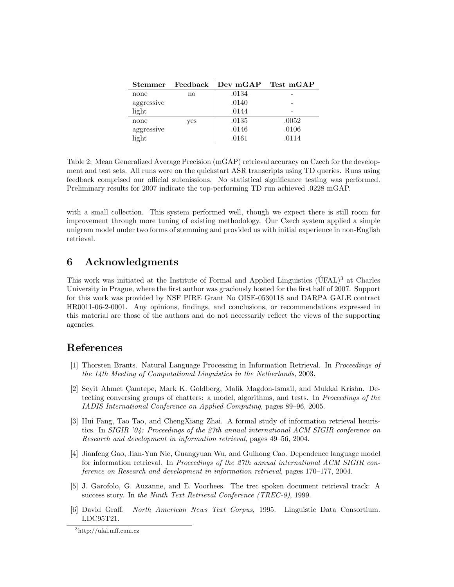| <b>Stemmer</b> | Feedback      | Dev mGAP Test mGAP |       |
|----------------|---------------|--------------------|-------|
| none           | $\mathbf{no}$ | .0134              |       |
| aggressive     |               | .0140              |       |
| light          |               | .0144              |       |
| none           | yes           | .0135              | .0052 |
| aggressive     |               | .0146              | .0106 |
| light          |               | .0161              | .0114 |

Table 2: Mean Generalized Average Precision (mGAP) retrieval accuracy on Czech for the development and test sets. All runs were on the quickstart ASR transcripts using TD queries. Runs using feedback comprised our official submissions. No statistical significance testing was performed. Preliminary results for 2007 indicate the top-performing TD run achieved .0228 mGAP.

with a small collection. This system performed well, though we expect there is still room for improvement through more tuning of existing methodology. Our Czech system applied a simple unigram model under two forms of stemming and provided us with initial experience in non-English retrieval.

### 6 Acknowledgments

This work was initiated at the Institute of Formal and Applied Linguistics  $(\text{UFAL})^3$  at Charles University in Prague, where the first author was graciously hosted for the first half of 2007. Support for this work was provided by NSF PIRE Grant No OISE-0530118 and DARPA GALE contract HR0011-06-2-0001. Any opinions, findings, and conclusions, or recommendations expressed in this material are those of the authors and do not necessarily reflect the views of the supporting agencies.

## References

- [1] Thorsten Brants. Natural Language Processing in Information Retrieval. In Proceedings of the 14th Meeting of Computational Linguistics in the Netherlands, 2003.
- [2] Seyit Ahmet Camtepe, Mark K. Goldberg, Malik Magdon-Ismail, and Mukkai Krishn. Detecting conversing groups of chatters: a model, algorithms, and tests. In Proceedings of the IADIS International Conference on Applied Computing, pages 89–96, 2005.
- [3] Hui Fang, Tao Tao, and ChengXiang Zhai. A formal study of information retrieval heuristics. In SIGIR '04: Proceedings of the 27th annual international ACM SIGIR conference on Research and development in information retrieval, pages 49–56, 2004.
- [4] Jianfeng Gao, Jian-Yun Nie, Guangyuan Wu, and Guihong Cao. Dependence language model for information retrieval. In Proceedings of the 27th annual international ACM SIGIR conference on Research and development in information retrieval, pages 170–177, 2004.
- [5] J. Garofolo, G. Auzanne, and E. Voorhees. The trec spoken document retrieval track: A success story. In the Ninth Text Retrieval Conference (TREC-9), 1999.
- [6] David Graff. North American News Text Corpus, 1995. Linguistic Data Consortium. LDC95T21.

<sup>3</sup>http://ufal.mff.cuni.cz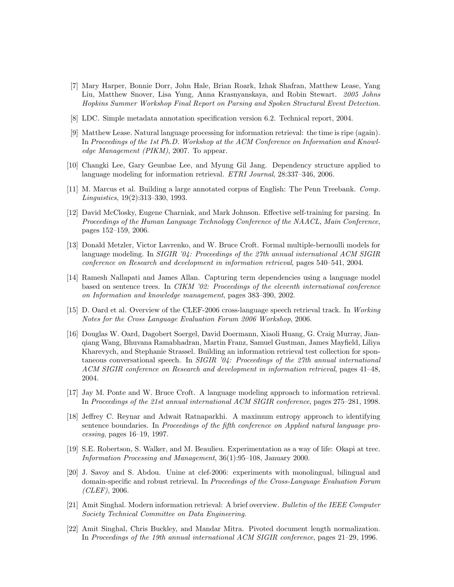- [7] Mary Harper, Bonnie Dorr, John Hale, Brian Roark, Izhak Shafran, Matthew Lease, Yang Liu, Matthew Snover, Lisa Yung, Anna Krasnyanskaya, and Robin Stewart. 2005 Johns Hopkins Summer Workshop Final Report on Parsing and Spoken Structural Event Detection.
- [8] LDC. Simple metadata annotation specification version 6.2. Technical report, 2004.
- [9] Matthew Lease. Natural language processing for information retrieval: the time is ripe (again). In Proceedings of the 1st Ph.D. Workshop at the ACM Conference on Information and Knowledge Management (PIKM), 2007. To appear.
- [10] Changki Lee, Gary Geunbae Lee, and Myung Gil Jang. Dependency structure applied to language modeling for information retrieval. ETRI Journal, 28:337–346, 2006.
- [11] M. Marcus et al. Building a large annotated corpus of English: The Penn Treebank. Comp. Linguistics, 19(2):313–330, 1993.
- [12] David McClosky, Eugene Charniak, and Mark Johnson. Effective self-training for parsing. In Proceedings of the Human Language Technology Conference of the NAACL, Main Conference, pages 152–159, 2006.
- [13] Donald Metzler, Victor Lavrenko, and W. Bruce Croft. Formal multiple-bernoulli models for language modeling. In *SIGIR '04: Proceedings of the 27th annual international ACM SIGIR* conference on Research and development in information retrieval, pages 540–541, 2004.
- [14] Ramesh Nallapati and James Allan. Capturing term dependencies using a language model based on sentence trees. In CIKM '02: Proceedings of the eleventh international conference on Information and knowledge management, pages 383–390, 2002.
- [15] D. Oard et al. Overview of the CLEF-2006 cross-language speech retrieval track. In Working Notes for the Cross Language Evaluation Forum 2006 Workshop, 2006.
- [16] Douglas W. Oard, Dagobert Soergel, David Doermann, Xiaoli Huang, G. Craig Murray, Jianqiang Wang, Bhuvana Ramabhadran, Martin Franz, Samuel Gustman, James Mayfield, Liliya Kharevych, and Stephanie Strassel. Building an information retrieval test collection for spontaneous conversational speech. In  $SIGIR$  '04: Proceedings of the 27th annual international ACM SIGIR conference on Research and development in information retrieval, pages 41–48, 2004.
- [17] Jay M. Ponte and W. Bruce Croft. A language modeling approach to information retrieval. In Proceedings of the 21st annual international ACM SIGIR conference, pages 275–281, 1998.
- [18] Jeffrey C. Reynar and Adwait Ratnaparkhi. A maximum entropy approach to identifying sentence boundaries. In *Proceedings of the fifth conference on Applied natural language pro*cessing, pages 16–19, 1997.
- [19] S.E. Robertson, S. Walker, and M. Beaulieu. Experimentation as a way of life: Okapi at trec. Information Processing and Management, 36(1):95–108, January 2000.
- [20] J. Savoy and S. Abdou. Unine at clef-2006: experiments with monolingual, bilingual and domain-specific and robust retrieval. In Proceedings of the Cross-Language Evaluation Forum (CLEF), 2006.
- [21] Amit Singhal. Modern information retrieval: A brief overview. Bulletin of the IEEE Computer Society Technical Committee on Data Engineering.
- [22] Amit Singhal, Chris Buckley, and Mandar Mitra. Pivoted document length normalization. In Proceedings of the 19th annual international ACM SIGIR conference, pages 21–29, 1996.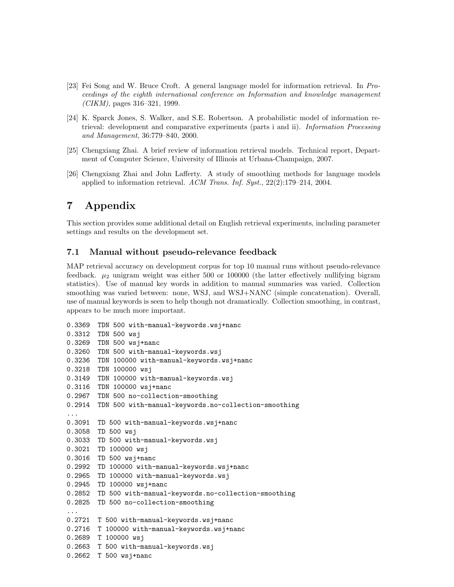- [23] Fei Song and W. Bruce Croft. A general language model for information retrieval. In Proceedings of the eighth international conference on Information and knowledge management (CIKM), pages 316–321, 1999.
- [24] K. Sparck Jones, S. Walker, and S.E. Robertson. A probabilistic model of information retrieval: development and comparative experiments (parts i and ii). Information Processing and Management, 36:779–840, 2000.
- [25] Chengxiang Zhai. A brief review of information retrieval models. Technical report, Department of Computer Science, University of Illinois at Urbana-Champaign, 2007.
- [26] Chengxiang Zhai and John Lafferty. A study of smoothing methods for language models applied to information retrieval. ACM Trans. Inf. Syst., 22(2):179–214, 2004.

### 7 Appendix

This section provides some additional detail on English retrieval experiments, including parameter settings and results on the development set.

#### 7.1 Manual without pseudo-relevance feedback

MAP retrieval accuracy on development corpus for top 10 manual runs without pseudo-relevance feedback.  $\mu_2$  unigram weight was either 500 or 100000 (the latter effectively nullifying bigram statistics). Use of manual key words in addition to manual summaries was varied. Collection smoothing was varied between: none, WSJ, and WSJ+NANC (simple concatenation). Overall, use of manual keywords is seen to help though not dramatically. Collection smoothing, in contrast, appears to be much more important.

```
0.3369 TDN 500 with-manual-keywords.wsj+nanc
0.3312 TDN 500 wsj
0.3269 TDN 500 wsj+nanc
0.3260 TDN 500 with-manual-keywords.wsj
0.3236 TDN 100000 with-manual-keywords.wsj+nanc
0.3218 TDN 100000 wsj
0.3149 TDN 100000 with-manual-keywords.wsj
0.3116 TDN 100000 wsj+nanc
0.2967 TDN 500 no-collection-smoothing
0.2914 TDN 500 with-manual-keywords.no-collection-smoothing
...
0.3091 TD 500 with-manual-keywords.wsj+nanc
0.3058 TD 500 wsj
0.3033 TD 500 with-manual-keywords.wsj
0.3021 TD 100000 wsj
0.3016 TD 500 wsj+nanc
0.2992 TD 100000 with-manual-keywords.wsj+nanc
0.2965 TD 100000 with-manual-keywords.wsj
0.2945 TD 100000 wsj+nanc
0.2852 TD 500 with-manual-keywords.no-collection-smoothing
0.2825 TD 500 no-collection-smoothing
...
0.2721 T 500 with-manual-keywords.wsj+nanc
0.2716 T 100000 with-manual-keywords.wsj+nanc
0.2689 T 100000 wsj
0.2663 T 500 with-manual-keywords.wsj
0.2662 T 500 wsj+nanc
```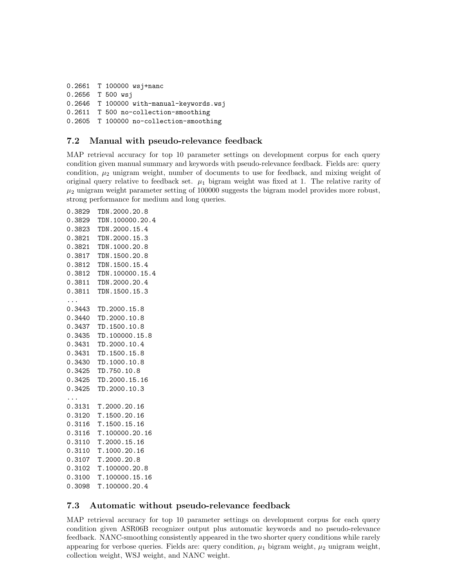0.2661 T 100000 wsj+nanc 0.2656 T 500 wsj 0.2646 T 100000 with-manual-keywords.wsj 0.2611 T 500 no-collection-smoothing 0.2605 T 100000 no-collection-smoothing

### 7.2 Manual with pseudo-relevance feedback

MAP retrieval accuracy for top 10 parameter settings on development corpus for each query condition given manual summary and keywords with pseudo-relevance feedback. Fields are: query condition,  $\mu_2$  unigram weight, number of documents to use for feedback, and mixing weight of original query relative to feedback set.  $\mu_1$  bigram weight was fixed at 1. The relative rarity of  $\mu_2$  unigram weight parameter setting of 100000 suggests the bigram model provides more robust, strong performance for medium and long queries.

0.3829 TDN.2000.20.8 0.3829 TDN.100000.20.4 0.3823 TDN.2000.15.4 0.3821 TDN.2000.15.3 0.3821 TDN.1000.20.8 0.3817 TDN.1500.20.8 0.3812 TDN.1500.15.4 0.3812 TDN.100000.15.4 0.3811 TDN.2000.20.4 0.3811 TDN.1500.15.3 ... 0.3443 TD.2000.15.8 0.3440 TD.2000.10.8 0.3437 TD.1500.10.8 0.3435 TD.100000.15.8 0.3431 TD.2000.10.4 0.3431 TD.1500.15.8 0.3430 TD.1000.10.8 0.3425 TD.750.10.8 0.3425 TD.2000.15.16 0.3425 TD.2000.10.3 ... 0.3131 T.2000.20.16 0.3120 T.1500.20.16 0.3116 T.1500.15.16 0.3116 T.100000.20.16 0.3110 T.2000.15.16 0.3110 T.1000.20.16 0.3107 T.2000.20.8 0.3102 T.100000.20.8 0.3100 T.100000.15.16 0.3098 T.100000.20.4

#### 7.3 Automatic without pseudo-relevance feedback

MAP retrieval accuracy for top 10 parameter settings on development corpus for each query condition given ASR06B recognizer output plus automatic keywords and no pseudo-relevance feedback. NANC-smoothing consistently appeared in the two shorter query conditions while rarely appearing for verbose queries. Fields are: query condition,  $\mu_1$  bigram weight,  $\mu_2$  unigram weight, collection weight, WSJ weight, and NANC weight.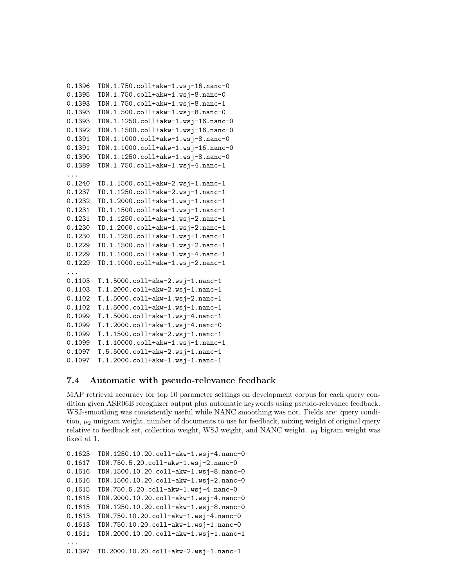```
0.1396 TDN.1.750.coll+akw-1.wsj-16.nanc-0
0.1395 TDN.1.750.coll+akw-1.wsj-8.nanc-0
0.1393 TDN.1.750.coll+akw-1.wsj-8.nanc-1
0.1393 TDN.1.500.coll+akw-1.wsj-8.nanc-0
0.1393 TDN.1.1250.coll+akw-1.wsj-16.nanc-0
0.1392 TDN.1.1500.coll+akw-1.wsj-16.nanc-0
0.1391 TDN.1.1000.coll+akw-1.wsj-8.nanc-0
0.1391 TDN.1.1000.coll+akw-1.wsj-16.nanc-0
0.1390 TDN.1.1250.coll+akw-1.wsj-8.nanc-0
0.1389 TDN.1.750.coll+akw-1.wsj-4.nanc-1
...
0.1240 TD.1.1500.coll+akw-2.wsj-1.nanc-1
0.1237 TD.1.1250.coll+akw-2.wsj-1.nanc-1
0.1232 TD.1.2000.coll+akw-1.wsj-1.nanc-1
0.1231 TD.1.1500.coll+akw-1.wsj-1.nanc-1
0.1231 TD.1.1250.coll+akw-1.wsj-2.nanc-1
0.1230 TD.1.2000.coll+akw-1.wsj-2.nanc-1
0.1230 TD.1.1250.coll+akw-1.wsj-1.nanc-1
0.1229 TD.1.1500.coll+akw-1.wsj-2.nanc-1
0.1229 TD.1.1000.coll+akw-1.wsj-4.nanc-1
0.1229 TD.1.1000.coll+akw-1.wsj-2.nanc-1
...
0.1103 T.1.5000.coll+akw-2.wsj-1.nanc-1
0.1103 T.1.2000.coll+akw-2.wsj-1.nanc-1
0.1102 T.1.5000.coll+akw-1.wsj-2.nanc-1
0.1102 T.1.5000.coll+akw-1.wsj-1.nanc-1
0.1099 T.1.5000.coll+akw-1.wsj-4.nanc-1
0.1099 T.1.2000.coll+akw-1.wsj-4.nanc-0
0.1099 T.1.1500.coll+akw-2.wsj-1.nanc-1
0.1099 T.1.10000.coll+akw-1.wsj-1.nanc-1
0.1097 T.5.5000.coll+akw-2.wsj-1.nanc-1
0.1097 T.1.2000.coll+akw-1.wsj-1.nanc-1
```
#### 7.4 Automatic with pseudo-relevance feedback

MAP retrieval accuracy for top 10 parameter settings on development corpus for each query condition given ASR06B recognizer output plus automatic keywords using pseudo-relevance feedback. WSJ-smoothing was consistently useful while NANC smoothing was not. Fields are: query condition,  $\mu_2$  unigram weight, number of documents to use for feedback, mixing weight of original query relative to feedback set, collection weight, WSJ weight, and NANC weight.  $\mu_1$  bigram weight was fixed at 1.

```
0.1623 TDN.1250.10.20.coll-akw-1.wsj-4.nanc-0
0.1617 TDN.750.5.20.coll-akw-1.wsj-2.nanc-0
0.1616 TDN.1500.10.20.coll-akw-1.wsj-8.nanc-0
0.1616 TDN.1500.10.20.coll-akw-1.wsj-2.nanc-0
0.1615 TDN.750.5.20.coll-akw-1.wsj-4.nanc-0
0.1615 TDN.2000.10.20.coll-akw-1.wsj-4.nanc-0
0.1615 TDN.1250.10.20.coll-akw-1.wsj-8.nanc-0
0.1613 TDN.750.10.20.coll-akw-1.wsj-4.nanc-0
0.1613 TDN.750.10.20.coll-akw-1.wsj-1.nanc-0
0.1611 TDN.2000.10.20.coll-akw-1.wsj-1.nanc-1
...
0.1397 TD.2000.10.20.coll-akw-2.wsj-1.nanc-1
```